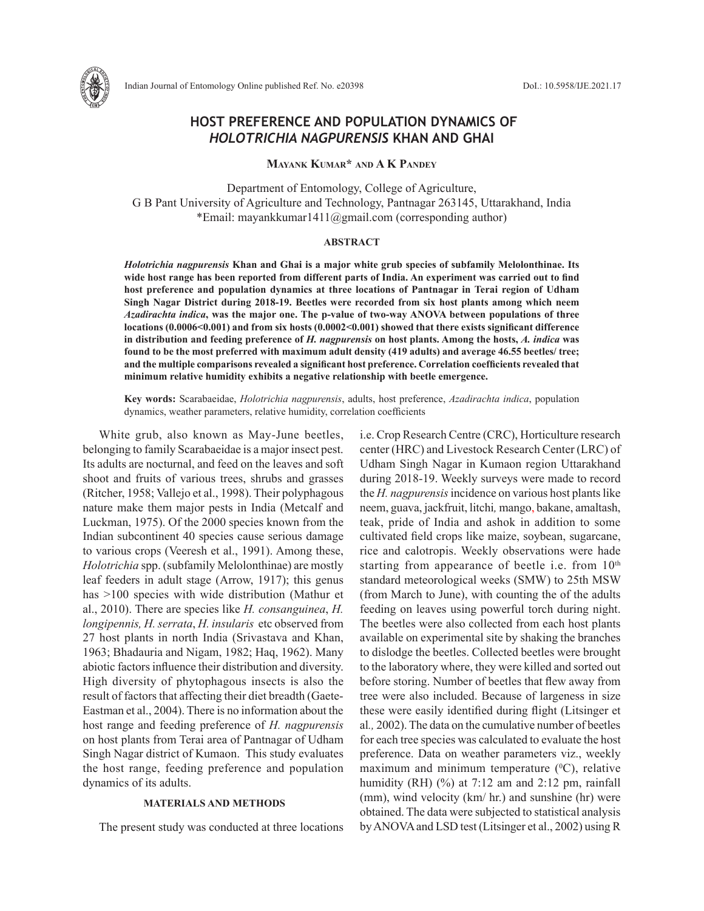

# **HOST PREFERENCE AND POPULATION DYNAMICS OF**  *HOLOTRICHIA NAGPURENSIS* **KHAN AND GHAI**

**Mayank Kumar\* and A K Pandey**

Department of Entomology, College of Agriculture, G B Pant University of Agriculture and Technology, Pantnagar 263145, Uttarakhand, India \*Email: mayankkumar1411@gmail.com (corresponding author)

## **ABSTRACT**

*Holotrichia nagpurensis* **Khan and Ghai is a major white grub species of subfamily Melolonthinae. Its wide host range has been reported from different parts of India. An experiment was carried out to find host preference and population dynamics at three locations of Pantnagar in Terai region of Udham Singh Nagar District during 2018-19. Beetles were recorded from six host plants among which neem** *Azadirachta indica***, was the major one. The p-value of two-way ANOVA between populations of three locations (0.0006<0.001) and from six hosts (0.0002<0.001) showed that there exists significant difference in distribution and feeding preference of** *H. nagpurensis* **on host plants. Among the hosts,** *A. indica* **was found to be the most preferred with maximum adult density (419 adults) and average 46.55 beetles/ tree; and the multiple comparisons revealed a significant host preference. Correlation coefficients revealed that minimum relative humidity exhibits a negative relationship with beetle emergence.** 

**Key words:** Scarabaeidae, *Holotrichia nagpurensis*, adults, host preference, *Azadirachta indica*, population dynamics, weather parameters, relative humidity, correlation coefficients

White grub, also known as May-June beetles, belonging to family Scarabaeidae is a major insect pest. Its adults are nocturnal, and feed on the leaves and soft shoot and fruits of various trees, shrubs and grasses (Ritcher, 1958; Vallejo et al., 1998). Their polyphagous nature make them major pests in India (Metcalf and Luckman, 1975). Of the 2000 species known from the Indian subcontinent 40 species cause serious damage to various crops (Veeresh et al., 1991). Among these, *Holotrichia* spp. (subfamily Melolonthinae) are mostly leaf feeders in adult stage (Arrow, 1917); this genus has >100 species with wide distribution (Mathur et al., 2010). There are species like *H. consanguinea*, *H. longipennis, H. serrata*, *H. insularis* etc observed from 27 host plants in north India (Srivastava and Khan, 1963; Bhadauria and Nigam, 1982; Haq, 1962). Many abiotic factors influence their distribution and diversity. High diversity of phytophagous insects is also the result of factors that affecting their diet breadth (Gaete-Eastman et al., 2004). There is no information about the host range and feeding preference of *H. nagpurensis* on host plants from Terai area of Pantnagar of Udham Singh Nagar district of Kumaon. This study evaluates the host range, feeding preference and population dynamics of its adults.

# **MATERIALS AND METHODS**

The present study was conducted at three locations

i.e. Crop Research Centre (CRC), Horticulture research center (HRC) and Livestock Research Center (LRC) of Udham Singh Nagar in Kumaon region Uttarakhand during 2018-19. Weekly surveys were made to record the *H. nagpurensis* incidence on various host plants like neem, guava, jackfruit, litchi*,* mango, bakane, amaltash, teak, pride of India and ashok in addition to some cultivated field crops like maize, soybean, sugarcane, rice and calotropis. Weekly observations were hade starting from appearance of beetle i.e. from 10<sup>th</sup> standard meteorological weeks (SMW) to 25th MSW (from March to June), with counting the of the adults feeding on leaves using powerful torch during night. The beetles were also collected from each host plants available on experimental site by shaking the branches to dislodge the beetles. Collected beetles were brought to the laboratory where, they were killed and sorted out before storing. Number of beetles that flew away from tree were also included. Because of largeness in size these were easily identified during flight (Litsinger et al*.,* 2002). The data on the cumulative number of beetles for each tree species was calculated to evaluate the host preference. Data on weather parameters viz., weekly maximum and minimum temperature  $({}^{0}C)$ , relative humidity (RH)  $(\%)$  at 7:12 am and 2:12 pm, rainfall (mm), wind velocity (km/ hr.) and sunshine (hr) were obtained. The data were subjected to statistical analysis by ANOVA and LSD test (Litsinger et al., 2002) using R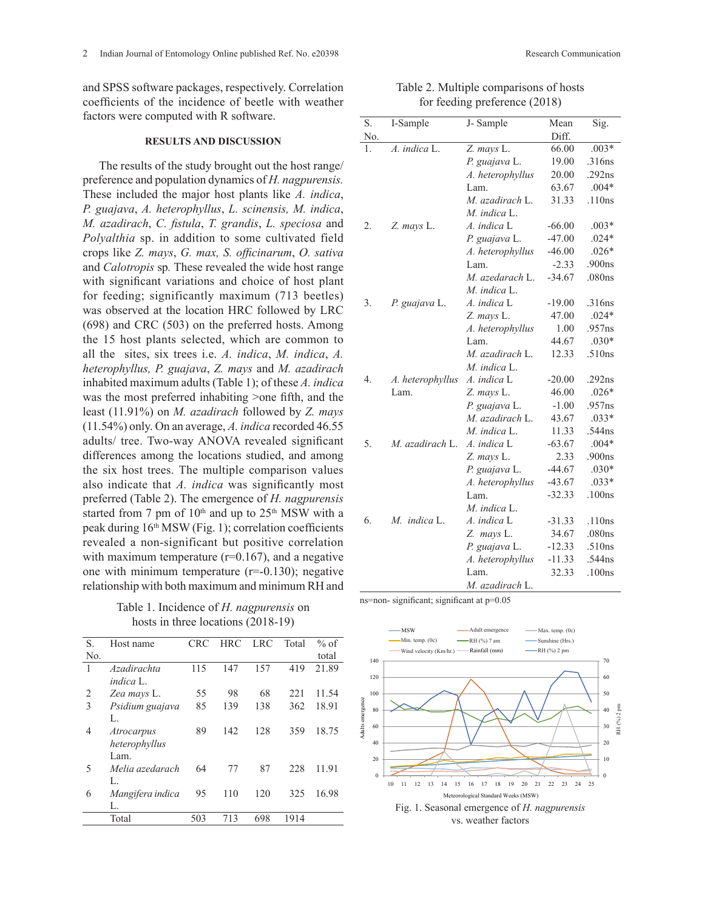and SPSS software packages, respectively. Correlation coefficients of the incidence of beetle with weather factors were computed with R software.

#### **RESULTS AND DISCUSSION**

The results of the study brought out the host range/ preference and population dynamics of *H. nagpurensis.*  These included the major host plants like *A. indica*, *P. guajava*, *A. heterophyllus*, *L. scinensis, M. indica*, *M. azadirach*, *C. fistula*, *T. grandis*, *L. speciosa* and *Polyalthia* sp. in addition to some cultivated field crops like *Z. mays*, *G. max, S. officinarum*, *O. sativa* and *Calotropis* sp*.* These revealed the wide host range with significant variations and choice of host plant for feeding; significantly maximum (713 beetles) was observed at the location HRC followed by LRC (698) and CRC (503) on the preferred hosts. Among the 15 host plants selected, which are common to all the sites, six trees i.e. *A. indica*, *M. indica*, *A. heterophyllus, P. guajava*, *Z. mays* and *M. azadirach*  inhabited maximum adults (Table 1); of these *A. indica* was the most preferred inhabiting >one fifth, and the least (11.91%) on *M. azadirach* followed by *Z. mays*  (11.54%) only. On an average, *A. indica* recorded 46.55 adults/ tree. Two-way ANOVA revealed significant differences among the locations studied, and among the six host trees. The multiple comparison values also indicate that *A. indica* was significantly most preferred (Table 2). The emergence of *H. nagpurensis*  started from 7 pm of  $10<sup>th</sup>$  and up to  $25<sup>th</sup>$  MSW with a peak during 16th MSW (Fig. 1); correlation coefficients revealed a non-significant but positive correlation with maximum temperature  $(r=0.167)$ , and a negative one with minimum temperature  $(r=0.130)$ ; negative relationship with both maximum and minimum RH and

Table 1. Incidence of *H. nagpurensis* on hosts in three locations (2018-19)

| S.  | Host name         | CRC | <b>HRC</b> | <b>LRC</b> | Total | $%$ of |
|-----|-------------------|-----|------------|------------|-------|--------|
| No. |                   |     |            |            |       | total  |
| 1   | Azadirachta       | 115 | 147        | 157        | 419   | 21.89  |
|     | indica L          |     |            |            |       |        |
| 2   | Zea mays L.       | 55  | 98         | 68         | 221   | 11.54  |
| 3   | Psidium guajava   | 85  | 139        | 138        | 362   | 18.91  |
|     | L.                |     |            |            |       |        |
| 4   | <i>Atrocarpus</i> | 89  | 142        | 128        | 359   | 18.75  |
|     | heterophyllus     |     |            |            |       |        |
|     | Lam.              |     |            |            |       |        |
| 5   | Melia azedarach   | 64  | 77         | 87         | 228   | 11.91  |
|     | L.                |     |            |            |       |        |
| 6   | Mangifera indica  | 95  | 110        | 120        | 325   | 16.98  |
|     | L.                |     |            |            |       |        |
|     | Total             | 503 | 713        | 698        | 1914  |        |

| Table 2. Multiple comparisons of hosts |  |
|----------------------------------------|--|
| for feeding preference (2018)          |  |

| S.  | I-Sample         | J-Sample                        | Mean     | Sig.    |
|-----|------------------|---------------------------------|----------|---------|
| No. |                  |                                 | Diff.    |         |
| 1.  | A. indica L.     | Z. mays L.                      | 66.00    | $.003*$ |
|     |                  |                                 |          | .316ns  |
|     |                  | P. guajava L.                   | 19.00    | .292ns  |
|     |                  | A. heterophyllus                | 20.00    | $.004*$ |
|     |                  | Lam.                            | 63.67    |         |
|     |                  | M. azadirach L.<br>M. indica L. | 31.33    | .110ns  |
| 2.  | Z. mays L.       | A. indica L                     | $-66.00$ | $.003*$ |
|     |                  |                                 | $-47.00$ | $.024*$ |
|     |                  | P. guajava L.                   | $-46.00$ | $.026*$ |
|     |                  | A. heterophyllus                | $-2.33$  | .900ns  |
|     |                  | Lam.                            |          |         |
|     |                  | M. azedarach L.<br>M. indica L. | $-34.67$ | .080ns  |
| 3.  |                  | A. indica L                     | $-19.00$ | .316ns  |
|     | P. guajava L.    |                                 | 47.00    | $.024*$ |
|     |                  | Z. mays L.                      | 1.00     | .957ns  |
|     |                  | A. heterophyllus                | 44.67    | $.030*$ |
|     |                  | Lam.<br>M. azadirach L.         | 12.33    | .510ns  |
|     |                  | M. indica L.                    |          |         |
| 4.  |                  | A. indica L                     | $-20.00$ | .292ns  |
|     | A. heterophyllus |                                 | 46.00    | $.026*$ |
|     | Lam.             | Z. mays L.                      |          |         |
|     |                  | P. guajava L.                   | $-1.00$  | .957ns  |
|     |                  | M. azadirach L.                 | 43.67    | $.033*$ |
|     |                  | M. indica L.                    | 11.33    | .544ns  |
| 5.  | M. azadirach L.  | A. indica L                     | $-63.67$ | $.004*$ |
|     |                  | Z. mays L.                      | 2.33     | .900ns  |
|     |                  | P. guajava L.                   | $-44.67$ | $.030*$ |
|     |                  | A. heterophyllus                | $-43.67$ | $.033*$ |
|     |                  | Lam.                            | $-32.33$ | .100ns  |
|     |                  | M. indica L.                    |          |         |
| 6.  | M. indica L.     | A. indica L                     | $-31.33$ | .110ns  |
|     |                  | Z. mays L.                      | 34.67    | .080ns  |
|     |                  | P. guajava L.                   | $-12.33$ | .510ns  |
|     |                  | A. heterophyllus                | $-11.33$ | .544ns  |
|     |                  | Lam.                            | 32.33    | .100ns  |
|     |                  | M. azadirach L.                 |          |         |

ns=non- significant; significant at p=0.05